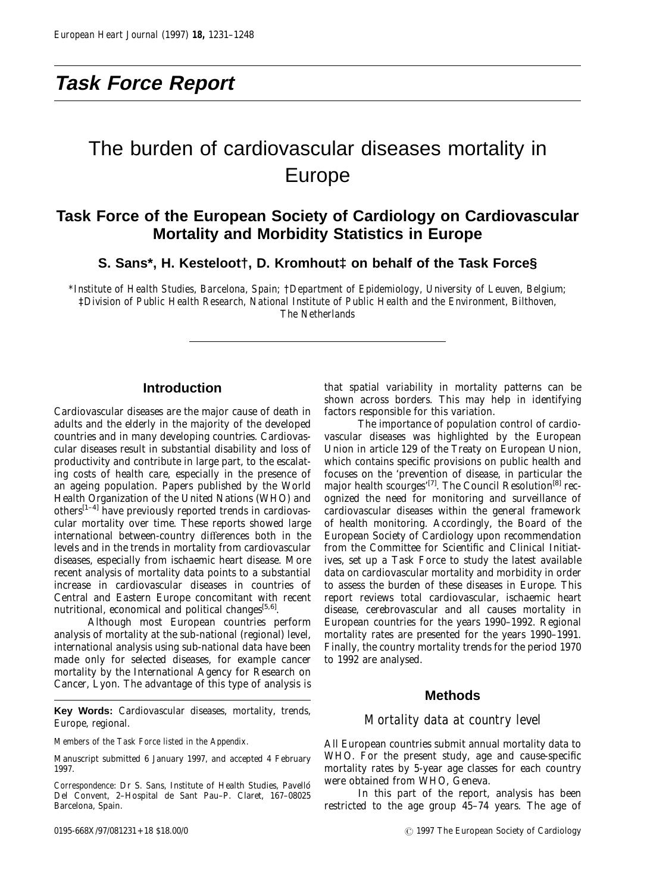# **Task Force Report**

# The burden of cardiovascular diseases mortality in Europe

# **Task Force of the European Society of Cardiology on Cardiovascular Mortality and Morbidity Statistics in Europe**

**S. Sans\*, H. Kesteloot†, D. Kromhout‡ on behalf of the Task Force§**

*\*Institute of Health Studies, Barcelona, Spain;* †*Department of Epidemiology, University of Leuven, Belgium;* ‡*Division of Public Health Research, National Institute of Public Health and the Environment, Bilthoven, The Netherlands*

# **Introduction**

Cardiovascular diseases are the major cause of death in adults and the elderly in the majority of the developed countries and in many developing countries. Cardiovascular diseases result in substantial disability and loss of productivity and contribute in large part, to the escalating costs of health care, especially in the presence of an ageing population. Papers published by the World Health Organization of the United Nations (WHO) and others<sup>[1–4]</sup> have previously reported trends in cardiovascular mortality over time. These reports showed large international between-country differences both in the levels and in the trends in mortality from cardiovascular diseases, especially from ischaemic heart disease. More recent analysis of mortality data points to a substantial increase in cardiovascular diseases in countries of Central and Eastern Europe concomitant with recent nutritional, economical and political changes $[5,6]$ .

Although most European countries perform analysis of mortality at the sub-national (regional) level, international analysis using sub-national data have been made only for selected diseases, for example cancer mortality by the International Agency for Research on Cancer, Lyon. The advantage of this type of analysis is

**Key Words:** Cardiovascular diseases, mortality, trends, Europe, regional.

*Members of the Task Force listed in the Appendix.*

Manuscript submitted 6 January 1997, and accepted 4 February 1997.

that spatial variability in mortality patterns can be shown across borders. This may help in identifying factors responsible for this variation.

The importance of population control of cardiovascular diseases was highlighted by the European Union in article 129 of the Treaty on European Union, which contains specific provisions on public health and focuses on the 'prevention of disease, in particular the major health scourges'<sup>[7]</sup>. The Council Resolution<sup>[8]</sup> recognized the need for monitoring and surveillance of cardiovascular diseases within the general framework of health monitoring. Accordingly, the Board of the European Society of Cardiology upon recommendation from the Committee for Scientific and Clinical Initiatives, set up a Task Force to study the latest available data on cardiovascular mortality and morbidity in order to assess the burden of these diseases in Europe. This report reviews total cardiovascular, ischaemic heart disease, cerebrovascular and all causes mortality in European countries for the years 1990–1992. Regional mortality rates are presented for the years 1990–1991. Finally, the country mortality trends for the period 1970 to 1992 are analysed.

# **Methods**

# *Mortality data at country level*

All European countries submit annual mortality data to WHO. For the present study, age and cause-specific mortality rates by 5-year age classes for each country were obtained from WHO, Geneva.

In this part of the report, analysis has been restricted to the age group 45–74 years. The age of

*Correspondence*: Dr S. Sans, Institute of Health Studies, Pavello´ Del Convent, 2–Hospital de Sant Pau–P. Claret, 167–08025 Barcelona, Spain.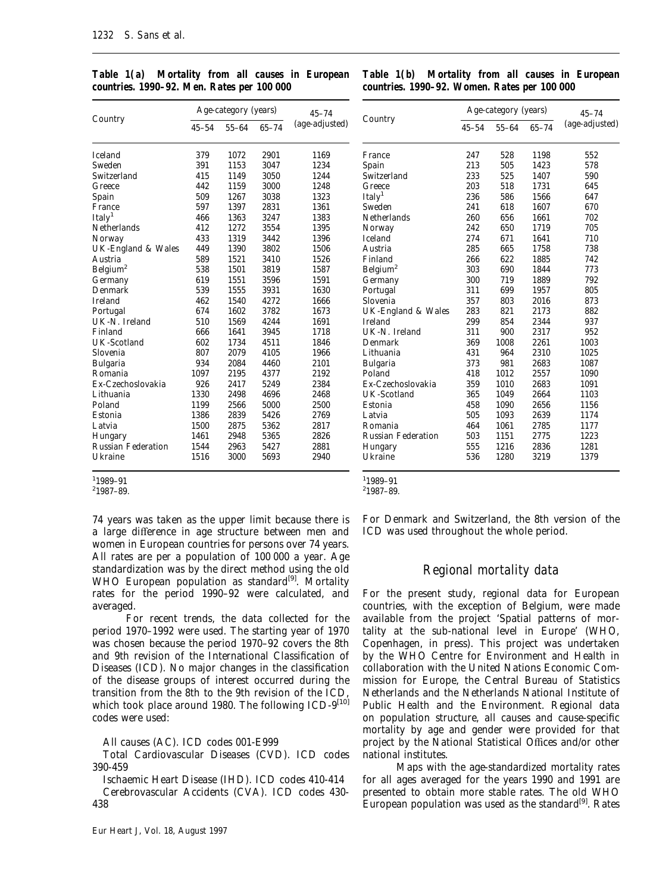|                           |           | Age-category (years) | $45 - 74$ |                |
|---------------------------|-----------|----------------------|-----------|----------------|
| Country                   | $45 - 54$ | $55 - 64$            | $65 - 74$ | (age-adjusted) |
| <b>Iceland</b>            | 379       | 1072                 | 2901      | 1169           |
| Sweden                    | 391       | 1153                 | 3047      | 1234           |
| Switzerland               | 415       | 1149                 | 3050      | 1244           |
| Greece                    | 442       | 1159                 | 3000      | 1248           |
| Spain                     | 509       | 1267                 | 3038      | 1323           |
| France                    | 597       | 1397                 | 2831      | 1361           |
| Italy <sup>1</sup>        | 466       | 1363                 | 3247      | 1383           |
| Netherlands               | 412       | 1272                 | 3554      | 1395           |
| Norway                    | 433       | 1319                 | 3442      | 1396           |
| UK-England & Wales        | 449       | 1390                 | 3802      | 1506           |
| Austria                   | 589       | 1521                 | 3410      | 1526           |
| Belgium <sup>2</sup>      | 538       | 1501                 | 3819      | 1587           |
| Germany                   | 619       | 1551                 | 3596      | 1591           |
| Denmark                   | 539       | 1555                 | 3931      | 1630           |
| <b>Ireland</b>            | 462       | 1540                 | 4272      | 1666           |
| Portugal                  | 674       | 1602                 | 3782      | 1673           |
| UK-N. Ireland             | 510       | 1569                 | 4244      | 1691           |
| Finland                   | 666       | 1641                 | 3945      | 1718           |
| <b>UK-Scotland</b>        | 602       | 1734                 | 4511      | 1846           |
| Slovenia                  | 807       | 2079                 | 4105      | 1966           |
| <b>Bulgaria</b>           | 934       | 2084                 | 4460      | 2101           |
| Romania                   | 1097      | 2195                 | 4377      | 2192           |
| Ex-Czechoslovakia         | 926       | 2417                 | 5249      | 2384           |
| Lithuania                 | 1330      | 2498                 | 4696      | 2468           |
| Poland                    | 1199      | 2566                 | 5000      | 2500           |
| Estonia                   | 1386      | 2839                 | 5426      | 2769           |
| Latvia                    | 1500      | 2875                 | 5362      | 2817           |
| Hungary                   | 1461      | 2948                 | 5365      | 2826           |
| <b>Russian Federation</b> | 1544      | 2963                 | 5427      | 2881           |
| Ukraine                   | 1516      | 3000                 | 5693      | 2940           |

*Table 1(a) Mortality from all causes in European countries. 1990–92. Men. Rates per 100 000*

## *Table 1(b) Mortality from all causes in European countries. 1990–92. Women. Rates per 100 000*

 $\Lambda$ ge-category (years)

| Country              |           | Age-calegory (years) | 45–74     |                |
|----------------------|-----------|----------------------|-----------|----------------|
|                      | $45 - 54$ | $55 - 64$            | $65 - 74$ | (age-adjusted) |
| France               | 247       | 528                  | 1198      | 552            |
| Spain                | 213       | 505                  | 1423      | 578            |
| Switzerland          | 233       | 525                  | 1407      | 590            |
| Greece               | 203       | 518                  | 1731      | 645            |
| Italy <sup>1</sup>   | 236       | 586                  | 1566      | 647            |
| Sweden               | 241       | 618                  | 1607      | 670            |
| Netherlands          | 260       | 656                  | 1661      | 702            |
| Norway               | 242       | 650                  | 1719      | 705            |
| <b>Iceland</b>       | 274       | 671                  | 1641      | 710            |
| Austria              | 285       | 665                  | 1758      | 738            |
| Finland              | 266       | 622                  | 1885      | 742            |
| Belgium <sup>2</sup> | 303       | 690                  | 1844      | 773            |
| Germany              | 300       | 719                  | 1889      | 792            |
| Portugal             | 311       | 699                  | 1957      | 805            |
| Slovenia             | 357       | 803                  | 2016      | 873            |
| UK-England & Wales   | 283       | 821                  | 2173      | 882            |
| <b>Ireland</b>       | 299       | 854                  | 2344      | 937            |
| UK-N. Ireland        | 311       | 900                  | 2317      | 952            |
| Denmark              | 369       | 1008                 | 2261      | 1003           |
| Lithuania            | 431       | 964                  | 2310      | 1025           |
| <b>Bulgaria</b>      | 373       | 981                  | 2683      | 1087           |
| Poland               | 418       | 1012                 | 2557      | 1090           |
| Ex-Czechoslovakia    | 359       | 1010                 | 2683      | 1091           |
| <b>UK-Scotland</b>   | 365       | 1049                 | 2664      | 1103           |
| Estonia              | 458       | 1090                 | 2656      | 1156           |
| Latvia               | 505       | 1093                 | 2639      | 1174           |
| Romania              | 464       | 1061                 | 2785      | 1177           |
| Russian Federation   | 503       | 1151                 | 2775      | 1223           |
| Hungary              | 555       | 1216                 | 2836      | 1281           |
| Ukraine              | 536       | 1280                 | 3219      | 1379           |

1 1989–91

2 1987–89.

74 years was taken as the upper limit because there is a large difference in age structure between men and women in European countries for persons over 74 years. All rates are per a population of 100 000 a year. Age standardization was by the direct method using the old WHO European population as standard<sup>[9]</sup>. Mortality rates for the period 1990–92 were calculated, and averaged.

For recent trends, the data collected for the period 1970–1992 were used. The starting year of 1970 was chosen because the period 1970–92 covers the 8th and 9th revision of the International Classification of Diseases (ICD). No major changes in the classification of the disease groups of interest occurred during the transition from the 8th to the 9th revision of the ICD, which took place around 1980. The following ICD-9[10] codes were used:

All causes (AC). ICD codes 001-E999

Total Cardiovascular Diseases (CVD). ICD codes 390-459

Ischaemic Heart Disease (IHD). ICD codes 410-414 Cerebrovascular Accidents (CVA). ICD codes 430- 438

1 1989–91 2 1987–89.

For Denmark and Switzerland, the 8th version of the ICD was used throughout the whole period.

# *Regional mortality data*

For the present study, regional data for European countries, with the exception of Belgium, were made available from the project 'Spatial patterns of mortality at the sub-national level in Europe' (WHO, Copenhagen, in press). This project was undertaken by the WHO Centre for Environment and Health in collaboration with the United Nations Economic Commission for Europe, the Central Bureau of Statistics Netherlands and the Netherlands National Institute of Public Health and the Environment. Regional data on population structure, all causes and cause-specific mortality by age and gender were provided for that project by the National Statistical Offices and/or other national institutes.

Maps with the age-standardized mortality rates for all ages averaged for the years 1990 and 1991 are presented to obtain more stable rates. The old WHO European population was used as the standard<sup>[9]</sup>. Rates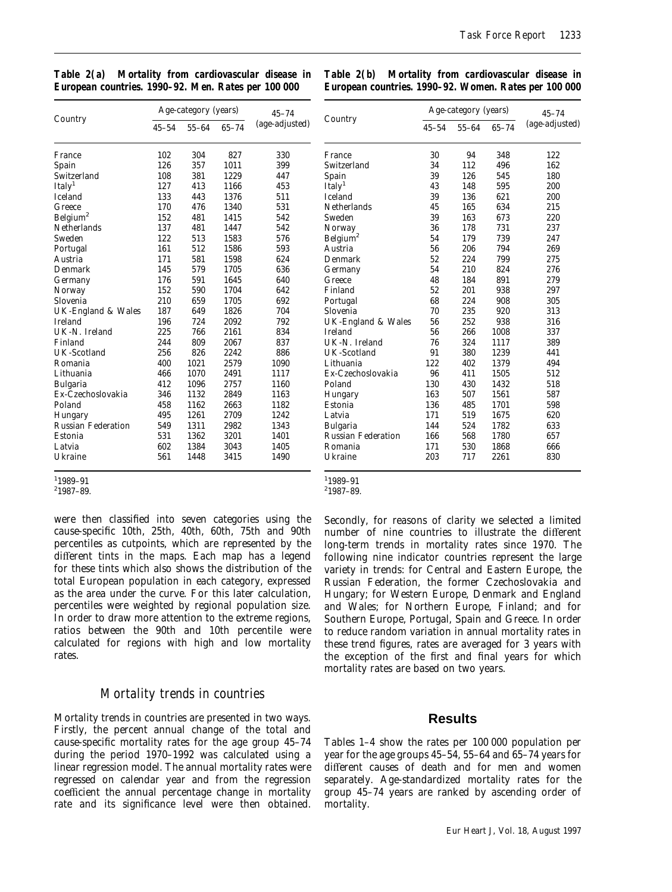| Table 2(a) Mortality from cardiovascular disease in |  |  |  |
|-----------------------------------------------------|--|--|--|
| European countries. 1990-92. Men. Rates per 100 000 |  |  |  |

*Table 2(b) Mortality from cardiovascular disease in European countries. 1990–92. Women. Rates per 100 000*

| Country                   | Age-category (years) |           | $45 - 74$ | Country        | Ag                        |          |
|---------------------------|----------------------|-----------|-----------|----------------|---------------------------|----------|
|                           | $45 - 54$            | $55 - 64$ | $65 - 74$ | (age-adjusted) |                           | $45 - 5$ |
| France                    | 102                  | 304       | 827       | 330            | France                    | 30       |
| Spain                     | 126                  | 357       | 1011      | 399            | Switzerland               | 34       |
| Switzerland               | 108                  | 381       | 1229      | 447            | Spain                     | 39       |
| Italy <sup>1</sup>        | 127                  | 413       | 1166      | 453            | Italy <sup>1</sup>        | 43       |
| Iceland                   | 133                  | 443       | 1376      | 511            | <b>Iceland</b>            | 39       |
| Greece                    | 170                  | 476       | 1340      | 531            | <b>Netherlands</b>        | 45       |
| Belgium <sup>2</sup>      | 152                  | 481       | 1415      | 542            | Sweden                    | 39       |
| <b>Netherlands</b>        | 137                  | 481       | 1447      | 542            | Norway                    | 36       |
| Sweden                    | 122                  | 513       | 1583      | 576            | Belgium <sup>2</sup>      | 54       |
| Portugal                  | 161                  | 512       | 1586      | 593            | Austria                   | 56       |
| Austria                   | 171                  | 581       | 1598      | 624            | Denmark                   | 52       |
| Denmark                   | 145                  | 579       | 1705      | 636            | Germany                   | 54       |
| Germany                   | 176                  | 591       | 1645      | 640            | Greece                    | 48       |
| Norway                    | 152                  | 590       | 1704      | 642            | Finland                   | 52       |
| Slovenia                  | 210                  | 659       | 1705      | 692            | Portugal                  | 68       |
| UK-England & Wales        | 187                  | 649       | 1826      | 704            | Slovenia                  | 70       |
| <b>Ireland</b>            | 196                  | 724       | 2092      | 792            | UK-England & Wales        | 56       |
| UK-N. Ireland             | 225                  | 766       | 2161      | 834            | <b>Ireland</b>            | 56       |
| Finland                   | 244                  | 809       | 2067      | 837            | UK-N. Ireland             | 76       |
| <b>UK-Scotland</b>        | 256                  | 826       | 2242      | 886            | <b>UK-Scotland</b>        | 91       |
| Romania                   | 400                  | 1021      | 2579      | 1090           | Lithuania                 | 122      |
| Lithuania                 | 466                  | 1070      | 2491      | 1117           | Ex-Czechoslovakia         | 96       |
| <b>Bulgaria</b>           | 412                  | 1096      | 2757      | 1160           | Poland                    | 130      |
| Ex-Czechoslovakia         | 346                  | 1132      | 2849      | 1163           | Hungary                   | 163      |
| Poland                    | 458                  | 1162      | 2663      | 1182           | Estonia                   | 136      |
| Hungary                   | 495                  | 1261      | 2709      | 1242           | Latvia                    | 171      |
| <b>Russian Federation</b> | 549                  | 1311      | 2982      | 1343           | <b>Bulgaria</b>           | 144      |
| Estonia                   | 531                  | 1362      | 3201      | 1401           | <b>Russian Federation</b> | 166      |
| Latvia                    | 602                  | 1384      | 3043      | 1405           | Romania                   | 171      |
| Ukraine                   | 561                  | 1448      | 3415      | 1490           | Ukraine                   | 203      |

|                      |           | Age-category (years) | $45 - 74$ |                |
|----------------------|-----------|----------------------|-----------|----------------|
| Country              | $45 - 54$ | $55 - 64$            | $65 - 74$ | (age-adjusted) |
| France               | 30        | 94                   | 348       | 122            |
| Switzerland          | 34        | 112                  | 496       | 162            |
| Spain                | 39        | 126                  | 545       | 180            |
| Italy <sup>1</sup>   | 43        | 148                  | 595       | 200            |
| Iceland              | 39        | 136                  | 621       | 200            |
| Netherlands          | 45        | 165                  | 634       | 215            |
| Sweden               | 39        | 163                  | 673       | 220            |
| Norway               | 36        | 178                  | 731       | 237            |
| Belgium <sup>2</sup> | 54        | 179                  | 739       | 247            |
| Austria              | 56        | 206                  | 794       | 269            |
| Denmark              | 52        | 224                  | 799       | 275            |
| Germany              | 54        | 210                  | 824       | 276            |
| Greece               | 48        | 184                  | 891       | 279            |
| Finland              | 52        | 201                  | 938       | 297            |
| Portugal             | 68        | 224                  | 908       | 305            |
| Slovenia             | 70        | 235                  | 920       | 313            |
| UK-England & Wales   | 56        | 252                  | 938       | 316            |
| Ireland              | 56        | 266                  | 1008      | 337            |
| UK-N. Ireland        | 76        | 324                  | 1117      | 389            |
| <b>UK-Scotland</b>   | 91        | 380                  | 1239      | 441            |
| Lithuania            | 122       | 402                  | 1379      | 494            |
| Ex-Czechoslovakia    | 96        | 411                  | 1505      | 512            |
| Poland               | 130       | 430                  | 1432      | 518            |
| Hungary              | 163       | 507                  | 1561      | 587            |
| Estonia              | 136       | 485                  | 1701      | 598            |
| Latvia               | 171       | 519                  | 1675      | 620            |
| Bulgaria             | 144       | 524                  | 1782      | 633            |
| Russian Federation   | 166       | 568                  | 1780      | 657            |
| Romania              | 171       | 530                  | 1868      | 666            |
| Ukraine              | 203       | 717                  | 2261      | 830            |
|                      |           |                      |           |                |

1 1989–91

2 1987–89.

1 1989–91 2 1987–89.

were then classified into seven categories using the cause-specific 10th, 25th, 40th, 60th, 75th and 90th percentiles as cutpoints, which are represented by the different tints in the maps. Each map has a legend for these tints which also shows the distribution of the total European population in each category, expressed as the area under the curve. For this later calculation, percentiles were weighted by regional population size. In order to draw more attention to the extreme regions, ratios between the 90th and 10th percentile were calculated for regions with high and low mortality rates.

# *Mortality trends in countries*

Mortality trends in countries are presented in two ways. Firstly, the percent annual change of the total and cause-specific mortality rates for the age group 45–74 during the period 1970–1992 was calculated using a linear regression model. The annual mortality rates were regressed on calendar year and from the regression coefficient the annual percentage change in mortality rate and its significance level were then obtained.

Secondly, for reasons of clarity we selected a limited number of nine countries to illustrate the different long-term trends in mortality rates since 1970. The following nine indicator countries represent the large variety in trends: for Central and Eastern Europe, the Russian Federation, the former Czechoslovakia and Hungary; for Western Europe, Denmark and England and Wales; for Northern Europe, Finland; and for Southern Europe, Portugal, Spain and Greece. In order to reduce random variation in annual mortality rates in these trend figures, rates are averaged for 3 years with the exception of the first and final years for which mortality rates are based on two years.

# **Results**

Tables 1–4 show the rates per 100 000 population per year for the age groups 45–54, 55–64 and 65–74 years for different causes of death and for men and women separately. Age-standardized mortality rates for the group 45–74 years are ranked by ascending order of mortality.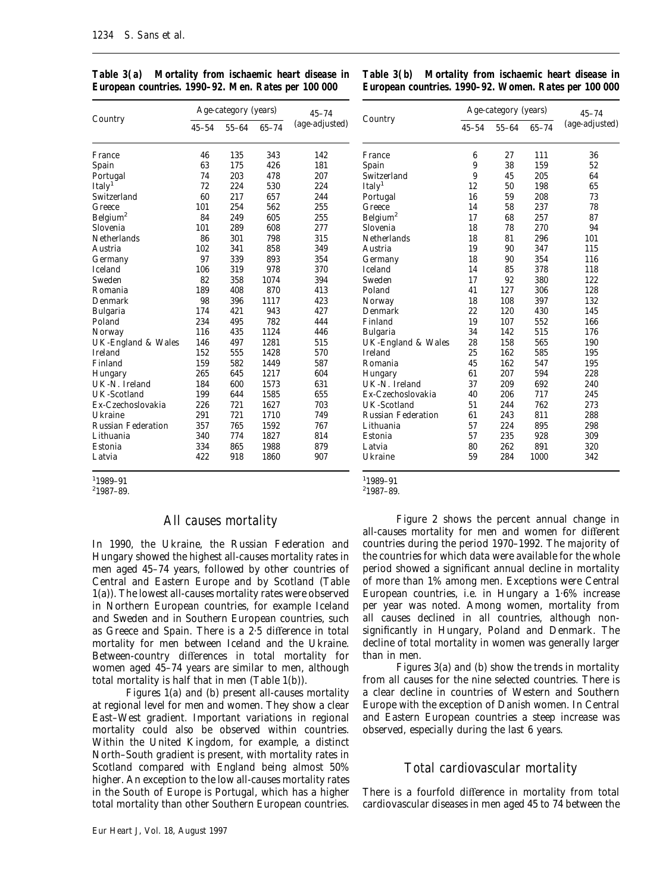|                           |           | Age-category (years) | $45 - 74$ |                |
|---------------------------|-----------|----------------------|-----------|----------------|
| Country                   | $45 - 54$ | $55 - 64$            | $65 - 74$ | (age-adjusted) |
| France                    | 46        | 135                  | 343       | 142            |
| Spain                     | 63        | 175                  | 426       | 181            |
| Portugal                  | 74        | 203                  | 478       | 207            |
| Italy <sup>1</sup>        | 72        | 224                  | 530       | 224            |
| Switzerland               | 60        | 217                  | 657       | 244            |
| Greece                    | 101       | 254                  | 562       | 255            |
| Belgium <sup>2</sup>      | 84        | 249                  | 605       | 255            |
| Slovenia                  | 101       | 289                  | 608       | 277            |
| <b>Netherlands</b>        | 86        | 301                  | 798       | 315            |
| Austria                   | 102       | 341                  | 858       | 349            |
| Germany                   | 97        | 339                  | 893       | 354            |
| <b>Iceland</b>            | 106       | 319                  | 978       | 370            |
| Sweden                    | 82        | 358                  | 1074      | 394            |
| Romania                   | 189       | 408                  | 870       | 413            |
| Denmark                   | 98        | 396                  | 1117      | 423            |
| Bulgaria                  | 174       | 421                  | 943       | 427            |
| Poland                    | 234       | 495                  | 782       | 444            |
| Norway                    | 116       | 435                  | 1124      | 446            |
| UK-England & Wales        | 146       | 497                  | 1281      | 515            |
| <b>Ireland</b>            | 152       | 555                  | 1428      | 570            |
| Finland                   | 159       | 582                  | 1449      | 587            |
| Hungary                   | 265       | 645                  | 1217      | 604            |
| UK-N. Ireland             | 184       | 600                  | 1573      | 631            |
| UK-Scotland               | 199       | 644                  | 1585      | 655            |
| Ex-Czechoslovakia         | 226       | 721                  | 1627      | 703            |
| Ukraine                   | 291       | 721                  | 1710      | 749            |
| <b>Russian Federation</b> | 357       | 765                  | 1592      | 767            |
| Lithuania                 | 340       | 774                  | 1827      | 814            |
| Estonia                   | 334       | 865                  | 1988      | 879            |
| Latvia                    | 422       | 918                  | 1860      | 907            |

*Table 3(a) Mortality from ischaemic heart disease in European countries. 1990–92. Men. Rates per 100 000*

*Table 3(b) Mortality from ischaemic heart disease in European countries. 1990–92. Women. Rates per 100 000*

|                           |           | Age-category (years) | $45 - 74$ |                |
|---------------------------|-----------|----------------------|-----------|----------------|
| Country                   | $45 - 54$ | $55 - 64$            | $65 - 74$ | (age-adjusted) |
| France                    | 6         | 27                   | 111       | 36             |
| Spain                     | 9         | 38                   | 159       | 52             |
| Switzerland               | 9         | 45                   | 205       | 64             |
| Italy <sup>1</sup>        | 12        | 50                   | 198       | 65             |
| Portugal                  | 16        | 59                   | 208       | 73             |
| Greece                    | 14        | 58                   | 237       | 78             |
| Belgium <sup>2</sup>      | 17        | 68                   | 257       | 87             |
| Slovenia                  | 18        | 78                   | 270       | 94             |
| <b>Netherlands</b>        | 18        | 81                   | 296       | 101            |
| Austria                   | 19        | 90                   | 347       | 115            |
| Germany                   | 18        | 90                   | 354       | 116            |
| <b>Iceland</b>            | 14        | 85                   | 378       | 118            |
| Sweden                    | 17        | 92                   | 380       | 122            |
| Poland                    | 41        | 127                  | 306       | 128            |
| Norway                    | 18        | 108                  | 397       | 132            |
| Denmark                   | 22        | 120                  | 430       | 145            |
| Finland                   | 19        | 107                  | 552       | 166            |
| Bulgaria                  | 34        | 142                  | 515       | 176            |
| UK-England & Wales        | 28        | 158                  | 565       | 190            |
| <b>Ireland</b>            | 25        | 162                  | 585       | 195            |
| Romania                   | 45        | 162                  | 547       | 195            |
| Hungary                   | 61        | 207                  | 594       | 228            |
| UK-N. Ireland             | 37        | 209                  | 692       | 240            |
| Ex-Czechoslovakia         | 40        | 206                  | 717       | 245            |
| UK-Scotland               | 51        | 244                  | 762       | 273            |
| <b>Russian Federation</b> | 61        | 243                  | 811       | 288            |
| Lithuania                 | 57        | 224                  | 895       | 298            |
| Estonia                   | 57        | 235                  | 928       | 309            |
| Latvia                    | 80        | 262                  | 891       | 320            |
| Ukraine                   | 59        | 284                  | 1000      | 342            |

1 1989–91

2 1987–89.

## *All causes mortality*

In 1990, the Ukraine, the Russian Federation and Hungary showed the highest all-causes mortality rates in men aged 45–74 years, followed by other countries of Central and Eastern Europe and by Scotland (Table 1(a)). The lowest all-causes mortality rates were observed in Northern European countries, for example Iceland and Sweden and in Southern European countries, such as Greece and Spain. There is a 2·5 difference in total mortality for men between Iceland and the Ukraine. Between-country differences in total mortality for women aged 45–74 years are similar to men, although total mortality is half that in men (Table 1(b)).

Figures 1(a) and (b) present all-causes mortality at regional level for men and women. They show a clear East–West gradient. Important variations in regional mortality could also be observed within countries. Within the United Kingdom, for example, a distinct North–South gradient is present, with mortality rates in Scotland compared with England being almost 50% higher. An exception to the low all-causes mortality rates in the South of Europe is Portugal, which has a higher total mortality than other Southern European countries.

Eur Heart J, Vol. 18, August 1997

1 1989–91

2 1987–89.

Figure 2 shows the percent annual change in all-causes mortality for men and women for different countries during the period 1970–1992. The majority of the countries for which data were available for the whole period showed a significant annual decline in mortality of more than 1% among men. Exceptions were Central European countries, i.e. in Hungary a 1·6% increase per year was noted. Among women, mortality from all causes declined in all countries, although nonsignificantly in Hungary, Poland and Denmark. The decline of total mortality in women was generally larger than in men.

Figures 3(a) and (b) show the trends in mortality from all causes for the nine selected countries. There is a clear decline in countries of Western and Southern Europe with the exception of Danish women. In Central and Eastern European countries a steep increase was observed, especially during the last 6 years.

# *Total cardiovascular mortality*

There is a fourfold difference in mortality from total cardiovascular diseases in men aged 45 to 74 between the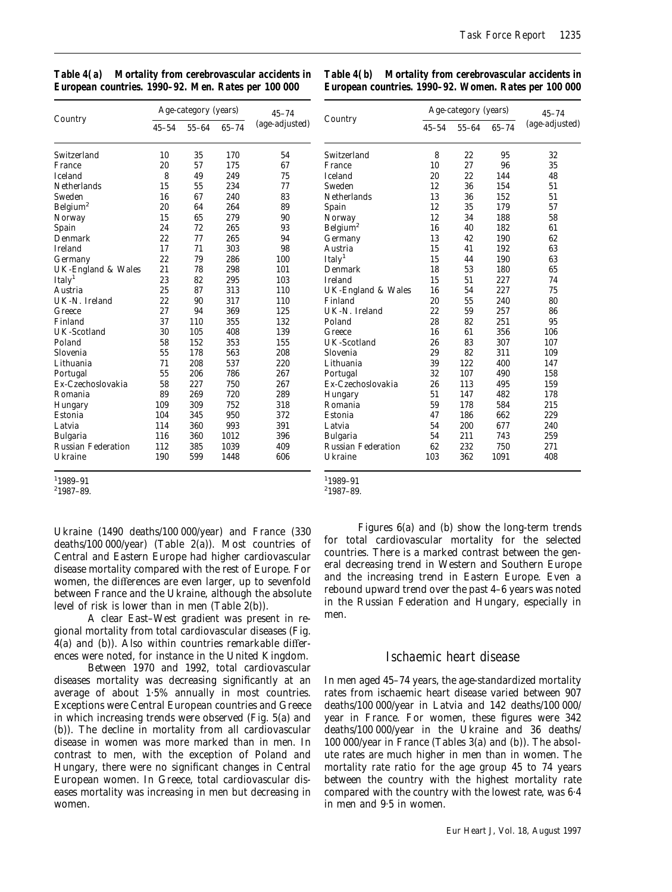| Table 4(a) Mortality from cerebrovascular accidents in |  |
|--------------------------------------------------------|--|
| European countries. 1990-92. Men. Rates per 100 000    |  |

*Table 4(b) Mortality from cerebrovascular accidents in European countries. 1990–92. Women. Rates per 100 000*

|                           |           | Age-category (years) |           | $45 - 74$      |                      |
|---------------------------|-----------|----------------------|-----------|----------------|----------------------|
| Country                   | $45 - 54$ | $55 - 64$            | $65 - 74$ | (age-adjusted) | Country              |
| Switzerland               | 10        | 35                   | 170       | 54             | Switzerland          |
| France                    | 20        | 57                   | 175       | 67             | France               |
| <b>Iceland</b>            | 8         | 49                   | 249       | 75             | <b>Iceland</b>       |
| <b>Netherlands</b>        | 15        | 55                   | 234       | 77             | Sweden               |
| Sweden                    | 16        | 67                   | 240       | 83             | <b>Netherlands</b>   |
| Belgium <sup>2</sup>      | 20        | 64                   | 264       | 89             | Spain                |
| Norway                    | 15        | 65                   | 279       | 90             | Norway               |
| Spain                     | 24        | 72                   | 265       | 93             | Belgium <sup>2</sup> |
| Denmark                   | 22        | 77                   | 265       | 94             | Germany              |
| <b>Ireland</b>            | 17        | 71                   | 303       | 98             | Austria              |
| Germany                   | 22        | 79                   | 286       | 100            | Italy <sup>1</sup>   |
| UK-England & Wales        | 21        | 78                   | 298       | 101            | Denmark              |
| Italy <sup>1</sup>        | 23        | 82                   | 295       | 103            | <b>Ireland</b>       |
| Austria                   | 25        | 87                   | 313       | 110            | UK-England &         |
| UK-N. Ireland             | 22        | 90                   | 317       | 110            | Finland              |
| Greece                    | 27        | 94                   | 369       | 125            | UK-N. Ireland        |
| Finland                   | 37        | 110                  | 355       | 132            | Poland               |
| UK-Scotland               | 30        | 105                  | 408       | 139            | Greece               |
| Poland                    | 58        | 152                  | 353       | 155            | <b>UK-Scotland</b>   |
| Slovenia                  | 55        | 178                  | 563       | 208            | Slovenia             |
| Lithuania                 | 71        | 208                  | 537       | 220            | Lithuania            |
| Portugal                  | 55        | 206                  | 786       | 267            | Portugal             |
| Ex-Czechoslovakia         | 58        | 227                  | 750       | 267            | Ex-Czechoslova       |
| Romania                   | 89        | 269                  | 720       | 289            | Hungary              |
| Hungary                   | 109       | 309                  | 752       | 318            | Romania              |
| Estonia                   | 104       | 345                  | 950       | 372            | Estonia              |
| Latvia                    | 114       | 360                  | 993       | 391            | Latvia               |
| <b>Bulgaria</b>           | 116       | 360                  | 1012      | 396            | Bulgaria             |
| <b>Russian Federation</b> | 112       | 385                  | 1039      | 409            | Russian Federa       |
| Ukraine                   | 190       | 599                  | 1448      | 606            | Ukraine              |

1 1989–91

2 1987–89.

1 1989–91 2 1987–89.

Ukraine (1490 deaths/100 000/year) and France (330 deaths/100 000/year) (Table  $2(a)$ ). Most countries of Central and Eastern Europe had higher cardiovascular disease mortality compared with the rest of Europe. For women, the differences are even larger, up to sevenfold between France and the Ukraine, although the absolute level of risk is lower than in men (Table 2(b)).

A clear East–West gradient was present in regional mortality from total cardiovascular diseases (Fig. 4(a) and (b)). Also within countries remarkable differences were noted, for instance in the United Kingdom.

Between 1970 and 1992, total cardiovascular diseases mortality was decreasing significantly at an average of about 1·5% annually in most countries. Exceptions were Central European countries and Greece in which increasing trends were observed (Fig. 5(a) and (b)). The decline in mortality from all cardiovascular disease in women was more marked than in men. In contrast to men, with the exception of Poland and Hungary, there were no significant changes in Central European women. In Greece, total cardiovascular diseases mortality was increasing in men but decreasing in women.

Figures 6(a) and (b) show the long-term trends for total cardiovascular mortality for the selected countries. There is a marked contrast between the general decreasing trend in Western and Southern Europe and the increasing trend in Eastern Europe. Even a rebound upward trend over the past 4–6 years was noted in the Russian Federation and Hungary, especially in men.

# *Ischaemic heart disease*

In men aged 45–74 years, the age-standardized mortality rates from ischaemic heart disease varied between 907 deaths/100 000/year in Latvia and 142 deaths/100 000/ year in France. For women, these figures were 342 deaths/100 000/year in the Ukraine and 36 deaths/ 100 000/year in France (Tables 3(a) and (b)). The absolute rates are much higher in men than in women. The mortality rate ratio for the age group 45 to 74 years between the country with the highest mortality rate compared with the country with the lowest rate, was 6·4 in men and 9·5 in women.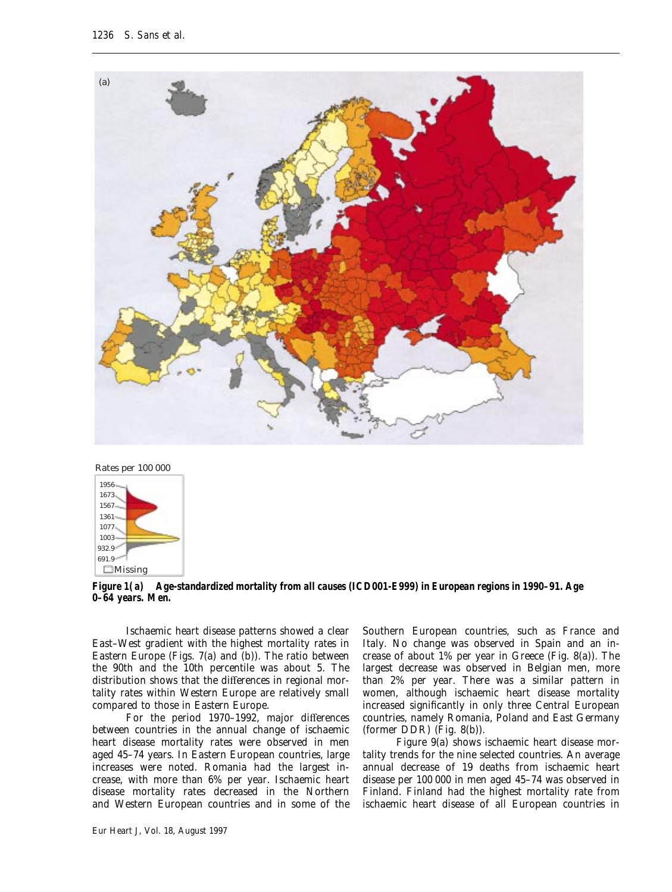



*Figure 1(a)* **Age-standardized mortality from all causes (ICD001-E999) in European regions in 1990–91. Age 0–64 years. Men.**

Ischaemic heart disease patterns showed a clear East–West gradient with the highest mortality rates in Eastern Europe (Figs. 7(a) and (b)). The ratio between the 90th and the 10th percentile was about 5. The distribution shows that the differences in regional mortality rates within Western Europe are relatively small compared to those in Eastern Europe.

For the period 1970–1992, major differences between countries in the annual change of ischaemic heart disease mortality rates were observed in men aged 45–74 years. In Eastern European countries, large increases were noted. Romania had the largest increase, with more than 6% per year. Ischaemic heart disease mortality rates decreased in the Northern and Western European countries and in some of the Southern European countries, such as France and Italy. No change was observed in Spain and an increase of about 1% per year in Greece (Fig. 8(a)). The largest decrease was observed in Belgian men, more than 2% per year. There was a similar pattern in women, although ischaemic heart disease mortality increased significantly in only three Central European countries, namely Romania, Poland and East Germany (former DDR) (Fig. 8(b)).

Figure 9(a) shows ischaemic heart disease mortality trends for the nine selected countries. An average annual decrease of 19 deaths from ischaemic heart disease per 100 000 in men aged 45–74 was observed in Finland. Finland had the highest mortality rate from ischaemic heart disease of all European countries in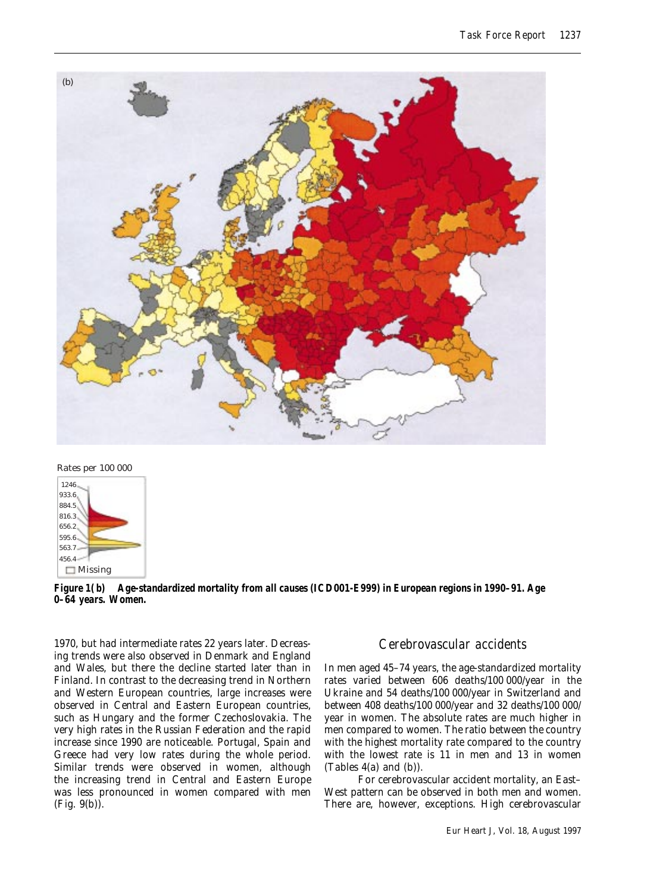



*Figure 1(b)* **Age-standardized mortality from all causes (ICD001-E999) in European regions in 1990–91. Age 0–64 years. Women.**

1970, but had intermediate rates 22 years later. Decreasing trends were also observed in Denmark and England and Wales, but there the decline started later than in Finland. In contrast to the decreasing trend in Northern and Western European countries, large increases were observed in Central and Eastern European countries, such as Hungary and the former Czechoslovakia. The very high rates in the Russian Federation and the rapid increase since 1990 are noticeable. Portugal, Spain and Greece had very low rates during the whole period. Similar trends were observed in women, although the increasing trend in Central and Eastern Europe was less pronounced in women compared with men (Fig. 9(b)).

# *Cerebrovascular accidents*

In men aged 45–74 years, the age-standardized mortality rates varied between 606 deaths/100 000/year in the Ukraine and 54 deaths/100 000/year in Switzerland and between 408 deaths/100 000/year and 32 deaths/100 000/ year in women. The absolute rates are much higher in men compared to women. The ratio between the country with the highest mortality rate compared to the country with the lowest rate is 11 in men and 13 in women (Tables 4(a) and (b)).

For cerebrovascular accident mortality, an East– West pattern can be observed in both men and women. There are, however, exceptions. High cerebrovascular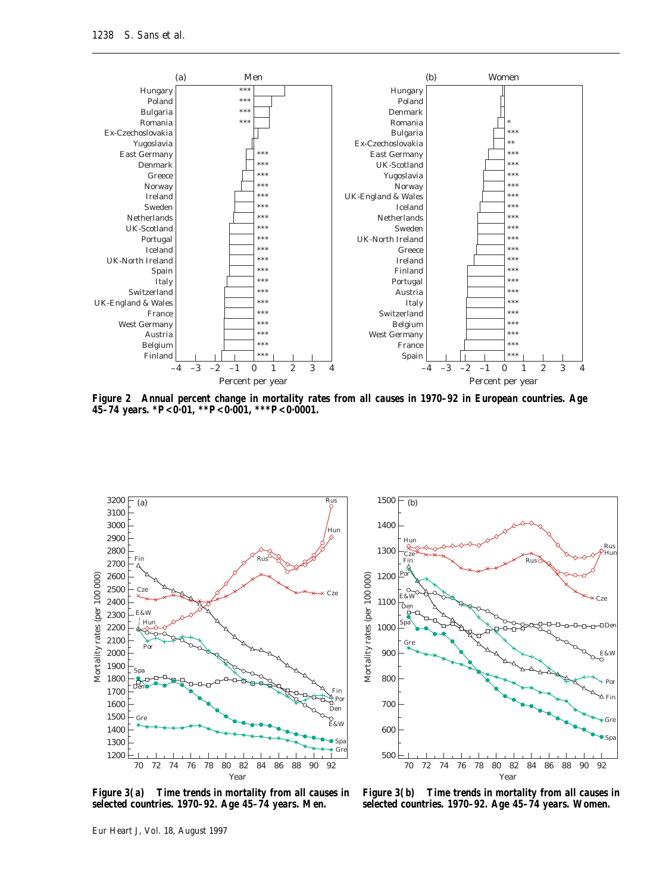

*Figure 2* **Annual percent change in mortality rates from all causes in 1970–92 in European countries. Age 45–74 years. \****P***<0·01, \*\****P***<0·001, \*\*\****P***<0·0001.**





*Figure 3(a)* **Time trends in mortality from all causes in selected countries. 1970–92. Age 45–74 years. Men.**

*Figure 3(b)* **Time trends in mortality from all causes in selected countries. 1970–92. Age 45–74 years. Women.**

Eur Heart J, Vol. 18, August 1997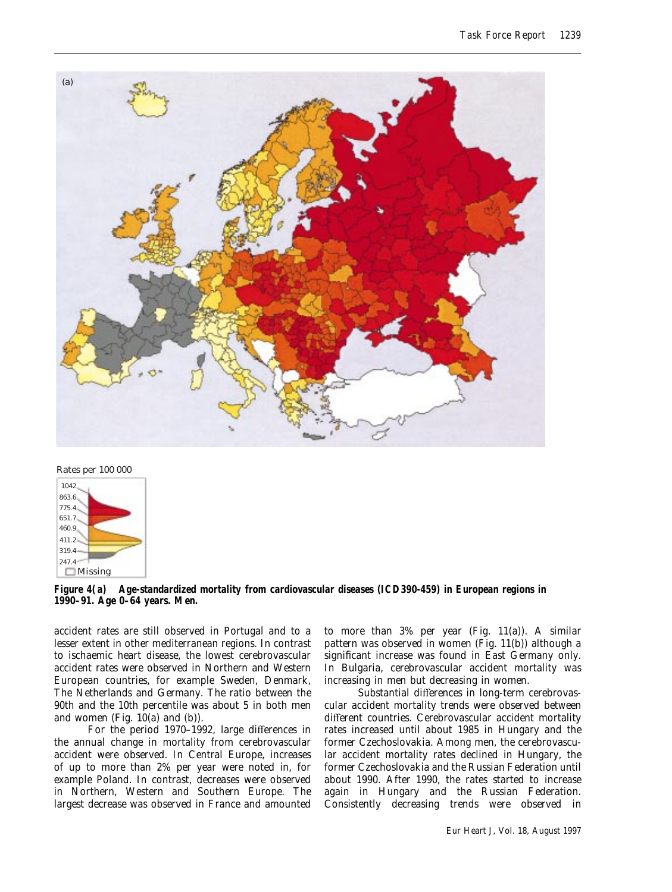



*Figure 4(a)* **Age-standardized mortality from cardiovascular diseases (ICD390-459) in European regions in 1990–91. Age 0–64 years. Men.**

accident rates are still observed in Portugal and to a lesser extent in other mediterranean regions. In contrast to ischaemic heart disease, the lowest cerebrovascular accident rates were observed in Northern and Western European countries, for example Sweden, Denmark, The Netherlands and Germany. The ratio between the 90th and the 10th percentile was about 5 in both men and women (Fig. 10(a) and (b)).

For the period 1970–1992, large differences in the annual change in mortality from cerebrovascular accident were observed. In Central Europe, increases of up to more than 2% per year were noted in, for example Poland. In contrast, decreases were observed in Northern, Western and Southern Europe. The largest decrease was observed in France and amounted

to more than 3% per year (Fig. 11(a)). A similar pattern was observed in women (Fig. 11(b)) although a significant increase was found in East Germany only. In Bulgaria, cerebrovascular accident mortality was increasing in men but decreasing in women.

Substantial differences in long-term cerebrovascular accident mortality trends were observed between different countries. Cerebrovascular accident mortality rates increased until about 1985 in Hungary and the former Czechoslovakia. Among men, the cerebrovascular accident mortality rates declined in Hungary, the former Czechoslovakia and the Russian Federation until about 1990. After 1990, the rates started to increase again in Hungary and the Russian Federation. Consistently decreasing trends were observed in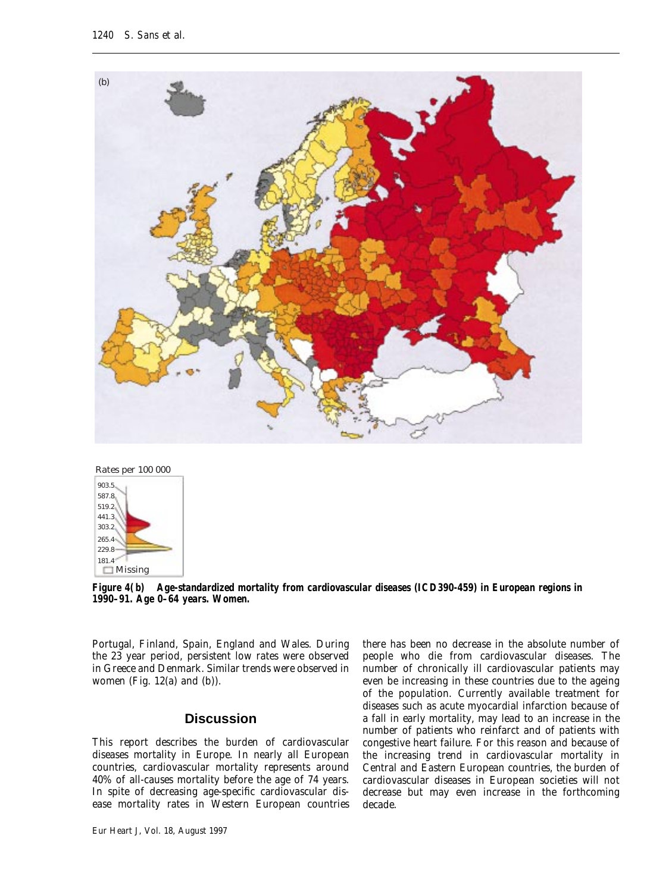



*Figure 4(b)* **Age-standardized mortality from cardiovascular diseases (ICD390-459) in European regions in 1990–91. Age 0–64 years. Women.**

Portugal, Finland, Spain, England and Wales. During the 23 year period, persistent low rates were observed in Greece and Denmark. Similar trends were observed in women (Fig.  $12(a)$  and  $(b)$ ).

# **Discussion**

This report describes the burden of cardiovascular diseases mortality in Europe. In nearly all European countries, cardiovascular mortality represents around 40% of all-causes mortality before the age of 74 years. In spite of decreasing age-specific cardiovascular disease mortality rates in Western European countries

Eur Heart J, Vol. 18, August 1997

there has been no decrease in the absolute number of people who die from cardiovascular diseases. The number of chronically ill cardiovascular patients may even be increasing in these countries due to the ageing of the population. Currently available treatment for diseases such as acute myocardial infarction because of a fall in early mortality, may lead to an increase in the number of patients who reinfarct and of patients with congestive heart failure. For this reason and because of the increasing trend in cardiovascular mortality in Central and Eastern European countries, the burden of cardiovascular diseases in European societies will not decrease but may even increase in the forthcoming decade.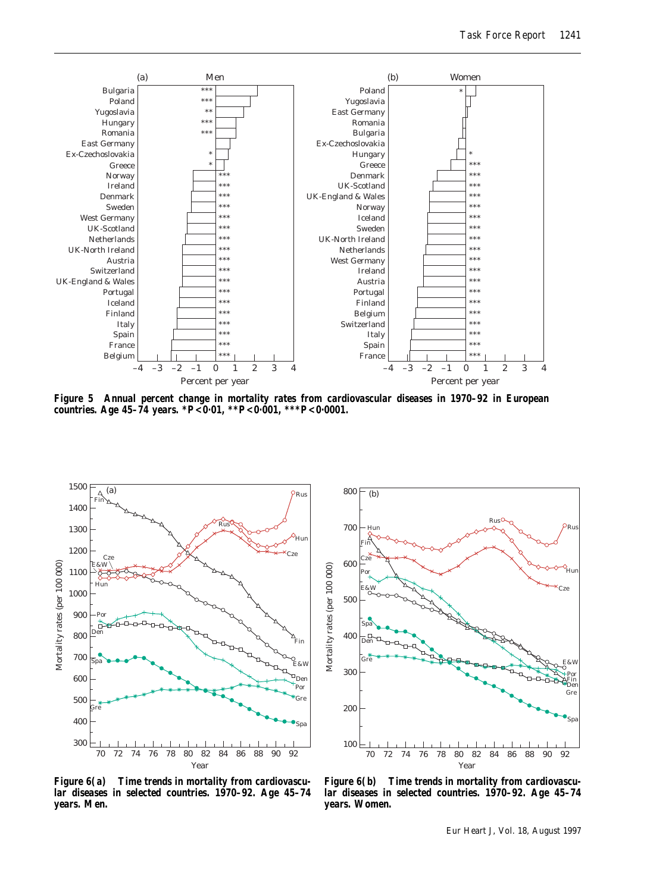

*Figure 5* **Annual percent change in mortality rates from cardiovascular diseases in 1970–92 in European countries. Age 45–74 years. \****P***<0·01, \*\****P***<0·001, \*\*\****P***<0·0001.**





*Figure 6(a)* **Time trends in mortality from cardiovascular diseases in selected countries. 1970–92. Age 45–74 years. Men.**

*Figure 6(b)* **Time trends in mortality from cardiovascular diseases in selected countries. 1970–92. Age 45–74 years. Women.**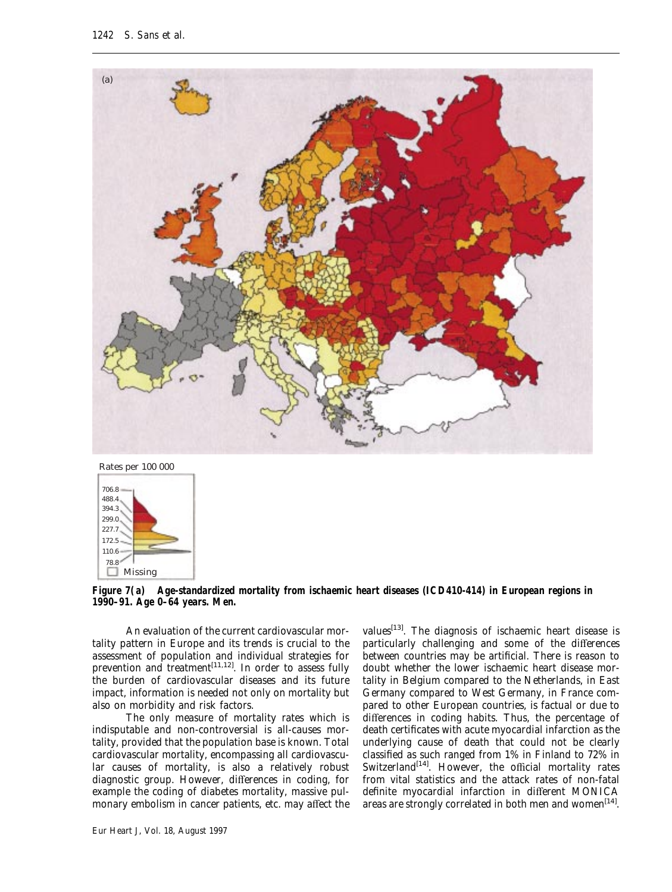

Rates per 100 000



*Figure 7(a)* **Age-standardized mortality from ischaemic heart diseases (ICD410-414) in European regions in 1990–91. Age 0–64 years. Men.**

An evaluation of the current cardiovascular mortality pattern in Europe and its trends is crucial to the assessment of population and individual strategies for prevention and treatment<sup>[11,12]</sup>. In order to assess fully the burden of cardiovascular diseases and its future impact, information is needed not only on mortality but also on morbidity and risk factors.

The only measure of mortality rates which is indisputable and non-controversial is all-causes mortality, provided that the population base is known. Total cardiovascular mortality, encompassing all cardiovascular causes of mortality, is also a relatively robust diagnostic group. However, differences in coding, for example the coding of diabetes mortality, massive pulmonary embolism in cancer patients, etc. may affect the

Eur Heart J, Vol. 18, August 1997

values<sup>[13]</sup>. The diagnosis of ischaemic heart disease is particularly challenging and some of the differences between countries may be artificial. There is reason to doubt whether the lower ischaemic heart disease mortality in Belgium compared to the Netherlands, in East Germany compared to West Germany, in France compared to other European countries, is factual or due to differences in coding habits. Thus, the percentage of death certificates with acute myocardial infarction as the underlying cause of death that could not be clearly classified as such ranged from 1% in Finland to 72% in Switzerland<sup>[14]</sup>. However, the official mortality rates from vital statistics and the attack rates of non-fatal definite myocardial infarction in different MONICA areas are strongly correlated in both men and women<sup>[14]</sup>.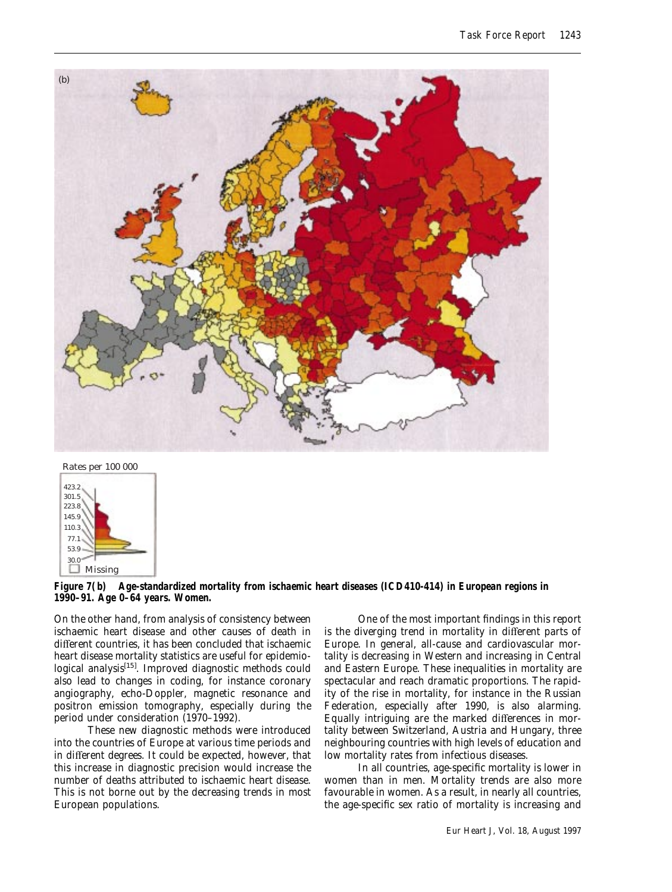



*Figure 7(b)* **Age-standardized mortality from ischaemic heart diseases (ICD410-414) in European regions in 1990–91. Age 0–64 years. Women.**

On the other hand, from analysis of consistency between ischaemic heart disease and other causes of death in different countries, it has been concluded that ischaemic heart disease mortality statistics are useful for epidemiological analysis<sup>[15]</sup>. Improved diagnostic methods could also lead to changes in coding, for instance coronary angiography, echo-Doppler, magnetic resonance and positron emission tomography, especially during the period under consideration (1970–1992).

These new diagnostic methods were introduced into the countries of Europe at various time periods and in different degrees. It could be expected, however, that this increase in diagnostic precision would increase the number of deaths attributed to ischaemic heart disease. This is not borne out by the decreasing trends in most European populations.

One of the most important findings in this report is the diverging trend in mortality in different parts of Europe. In general, all-cause and cardiovascular mortality is decreasing in Western and increasing in Central and Eastern Europe. These inequalities in mortality are spectacular and reach dramatic proportions. The rapidity of the rise in mortality, for instance in the Russian Federation, especially after 1990, is also alarming. Equally intriguing are the marked differences in mortality between Switzerland, Austria and Hungary, three neighbouring countries with high levels of education and low mortality rates from infectious diseases.

In all countries, age-specific mortality is lower in women than in men. Mortality trends are also more favourable in women. As a result, in nearly all countries, the age-specific sex ratio of mortality is increasing and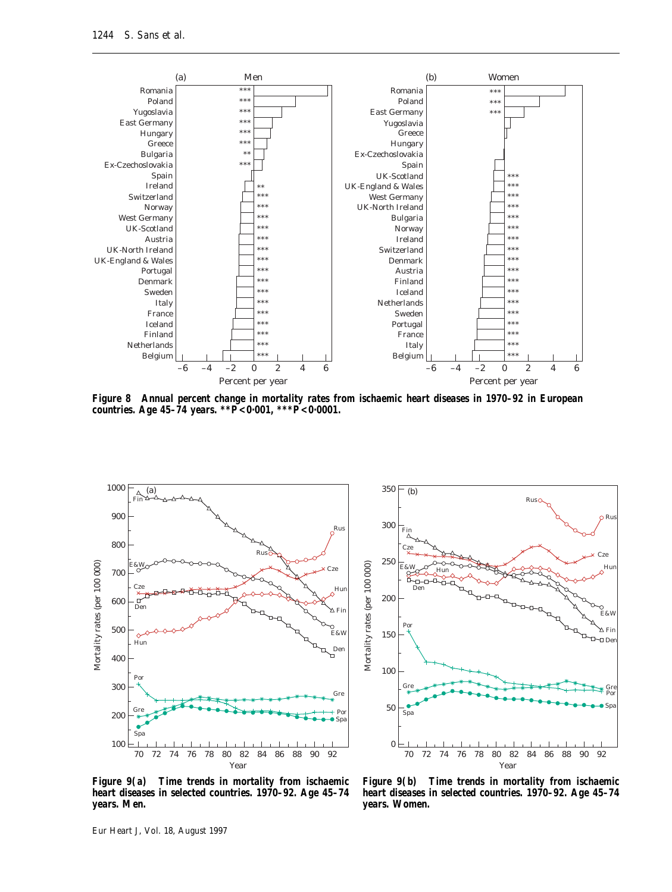

*Figure 8* **Annual percent change in mortality rates from ischaemic heart diseases in 1970–92 in European countries. Age 45–74 years. \*\****P***<0·001, \*\*\****P***<0·0001.**





*Figure 9(a)* **Time trends in mortality from ischaemic heart diseases in selected countries. 1970–92. Age 45–74 years. Men.**

*Figure 9(b)* **Time trends in mortality from ischaemic heart diseases in selected countries. 1970–92. Age 45–74 years. Women.**

Eur Heart J, Vol. 18, August 1997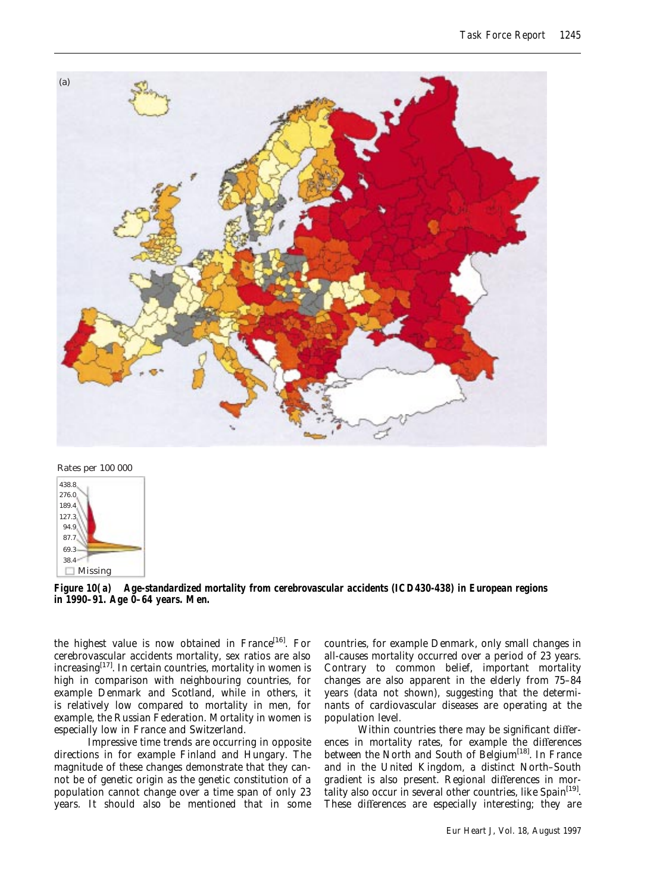

Rates per 100 000



*Figure 10(a)* **Age-standardized mortality from cerebrovascular accidents (ICD430-438) in European regions in 1990–91. Age 0–64 years. Men.**

the highest value is now obtained in France<sup>[16]</sup>. For cerebrovascular accidents mortality, sex ratios are also increasing $[17]$ . In certain countries, mortality in women is high in comparison with neighbouring countries, for example Denmark and Scotland, while in others, it is relatively low compared to mortality in men, for example, the Russian Federation. Mortality in women is especially low in France and Switzerland.

Impressive time trends are occurring in opposite directions in for example Finland and Hungary. The magnitude of these changes demonstrate that they cannot be of genetic origin as the genetic constitution of a population cannot change over a time span of only 23 years. It should also be mentioned that in some

countries, for example Denmark, only small changes in all-causes mortality occurred over a period of 23 years. Contrary to common belief, important mortality changes are also apparent in the elderly from 75–84 years (data not shown), suggesting that the determinants of cardiovascular diseases are operating at the population level.

Within countries there may be significant differences in mortality rates, for example the differences between the North and South of Belgium<sup>[18]</sup>. In France and in the United Kingdom, a distinct North–South gradient is also present. Regional differences in mortality also occur in several other countries, like  $Spin<sup>[19]</sup>$ . These differences are especially interesting; they are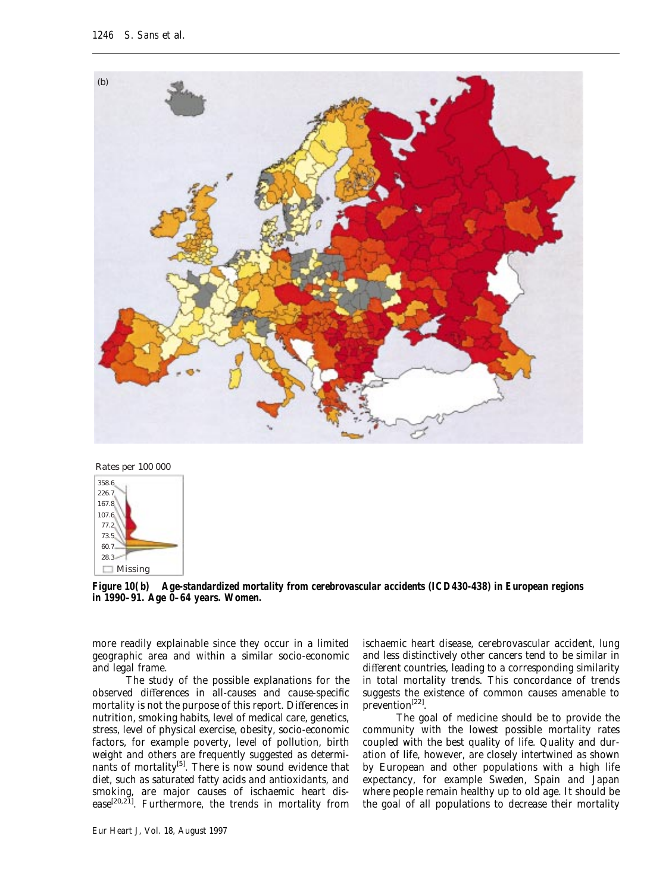



*Figure 10(b)* **Age-standardized mortality from cerebrovascular accidents (ICD430-438) in European regions in 1990–91. Age 0–64 years. Women.**

more readily explainable since they occur in a limited geographic area and within a similar socio-economic and legal frame.

The study of the possible explanations for the observed differences in all-causes and cause-specific mortality is not the purpose of this report. Differences in nutrition, smoking habits, level of medical care, genetics, stress, level of physical exercise, obesity, socio-economic factors, for example poverty, level of pollution, birth weight and others are frequently suggested as determinants of mortality<sup>[5]</sup>. There is now sound evidence that diet, such as saturated fatty acids and antioxidants, and smoking, are major causes of ischaemic heart disease<sup>[20,21]</sup>. Furthermore, the trends in mortality from

ischaemic heart disease, cerebrovascular accident, lung and less distinctively other cancers tend to be similar in different countries, leading to a corresponding similarity in total mortality trends. This concordance of trends suggests the existence of common causes amenable to prevention[22].

The goal of medicine should be to provide the community with the lowest possible mortality rates coupled with the best quality of life. Quality and duration of life, however, are closely intertwined as shown by European and other populations with a high life expectancy, for example Sweden, Spain and Japan where people remain healthy up to old age. It should be the goal of all populations to decrease their mortality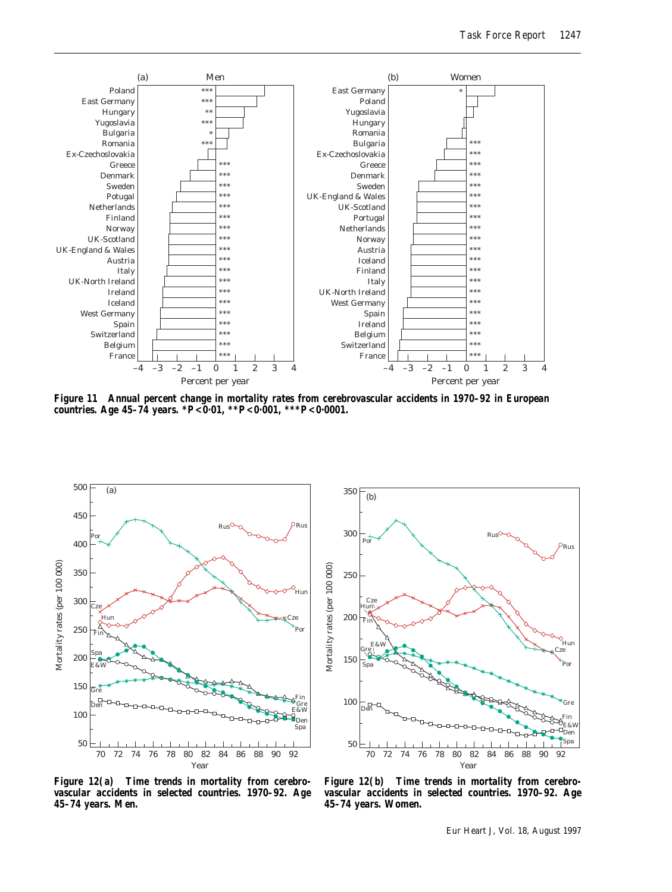

*Figure 11* **Annual percent change in mortality rates from cerebrovascular accidents in 1970–92 in European countries. Age 45–74 years. \****P***<0·01, \*\****P***<0·001, \*\*\****P***<0·0001.**





*Figure 12(a)* **Time trends in mortality from cerebrovascular accidents in selected countries. 1970–92. Age 45–74 years. Men.**

*Figure 12(b)* **Time trends in mortality from cerebrovascular accidents in selected countries. 1970–92. Age 45–74 years. Women.**